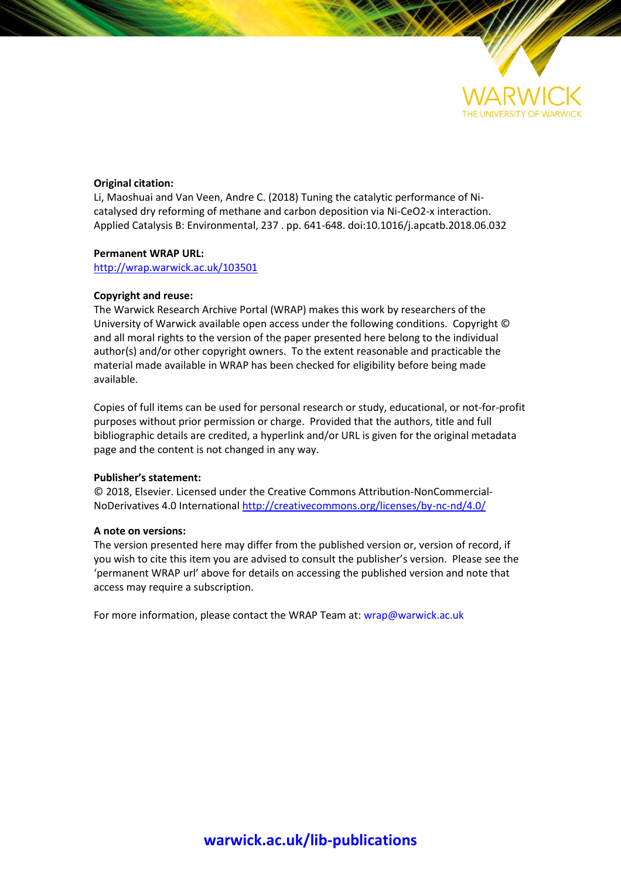

#### **Original citation:**

Li, Maoshuai and Van Veen, Andre C. (2018) Tuning the catalytic performance of Nicatalysed dry reforming of methane and carbon deposition via Ni-CeO2-x interaction. Applied Catalysis B: Environmental, 237 . pp. 641-648. doi:10.1016/j.apcatb.2018.06.032

#### **Permanent WRAP URL:**

<http://wrap.warwick.ac.uk/103501>

#### **Copyright and reuse:**

The Warwick Research Archive Portal (WRAP) makes this work by researchers of the University of Warwick available open access under the following conditions. Copyright © and all moral rights to the version of the paper presented here belong to the individual author(s) and/or other copyright owners. To the extent reasonable and practicable the material made available in WRAP has been checked for eligibility before being made available.

Copies of full items can be used for personal research or study, educational, or not-for-profit purposes without prior permission or charge. Provided that the authors, title and full bibliographic details are credited, a hyperlink and/or URL is given for the original metadata page and the content is not changed in any way.

#### **Publisher's statement:**

© 2018, Elsevier. Licensed under the Creative Commons Attribution-NonCommercial-NoDerivatives 4.0 International<http://creativecommons.org/licenses/by-nc-nd/4.0/>

### **A note on versions:**

The version presented here may differ from the published version or, version of record, if you wish to cite this item you are advised to consult the publisher's version. Please see the 'permanent WRAP url' above for details on accessing the published version and note that access may require a subscription.

For more information, please contact the WRAP Team at[: wrap@warwick.ac.uk](mailto:wrap@warwick.ac.uk)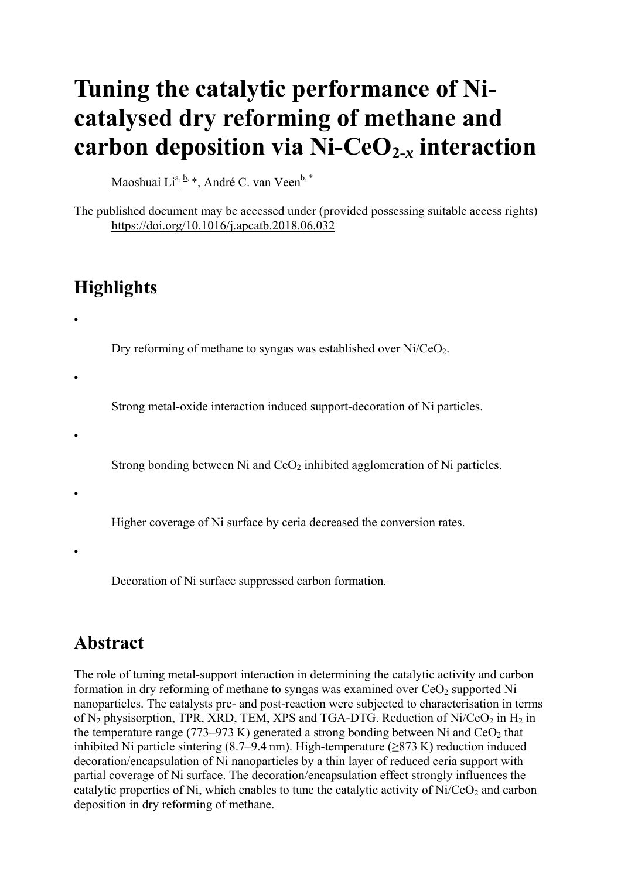# **Tuning the catalytic performance of Nicatalysed dry reforming of methane and**  carbon deposition via Ni-CeO<sub>2-*x*</sub> interaction

Maoshuai Li<sup>a, b,</sup> \*, André C. van Veen<sup>b, \*</sup>

The published document may be accessed under (provided possessing suitable access rights) https://doi.org/10.1016/j.apcatb.2018.06.032

## **Highlights**

•

•

•

•

Dry reforming of methane to syngas was established over  $Ni/CeO<sub>2</sub>$ .

Strong metal-oxide interaction induced support-decoration of Ni particles.

Strong bonding between Ni and  $CeO<sub>2</sub>$  inhibited agglomeration of Ni particles.

Higher coverage of Ni surface by ceria decreased the conversion rates.

•

Decoration of Ni surface suppressed carbon formation.

## **Abstract**

The role of tuning metal-support interaction in determining the catalytic activity and carbon formation in dry reforming of methane to syngas was examined over  $CeO<sub>2</sub>$  supported Ni nanoparticles. The catalysts pre- and post-reaction were subjected to characterisation in terms of  $N_2$  physisorption, TPR, XRD, TEM, XPS and TGA-DTG. Reduction of  $Ni/CeO<sub>2</sub>$  in  $H<sub>2</sub>$  in the temperature range (773–973 K) generated a strong bonding between Ni and  $CeO<sub>2</sub>$  that inhibited Ni particle sintering  $(8.7–9.4 \text{ nm})$ . High-temperature  $(≥873 \text{ K})$  reduction induced decoration/encapsulation of Ni nanoparticles by a thin layer of reduced ceria support with partial coverage of Ni surface. The decoration/encapsulation effect strongly influences the catalytic properties of Ni, which enables to tune the catalytic activity of  $Ni/CeO<sub>2</sub>$  and carbon deposition in dry reforming of methane.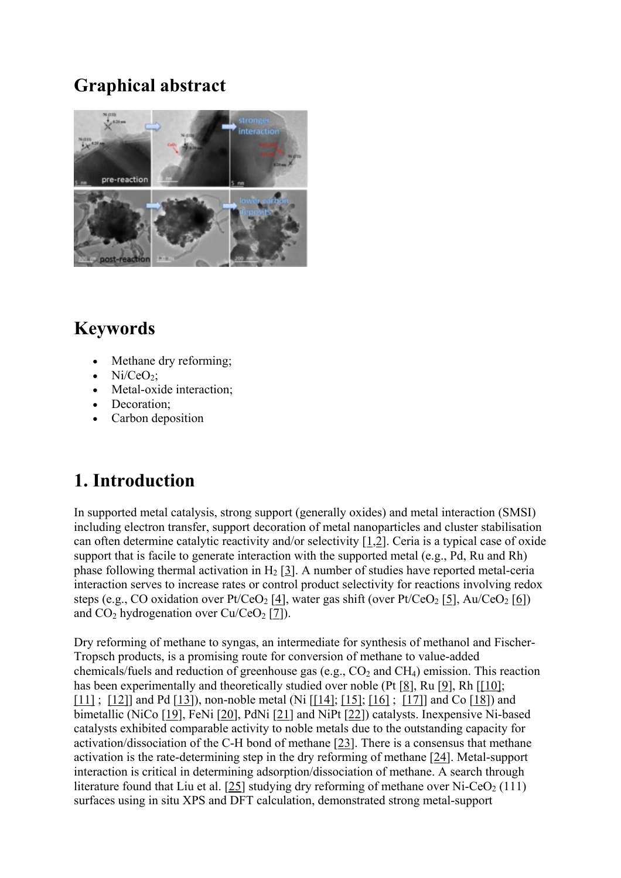## **Graphical abstract**



## **Keywords**

- Methane dry reforming;
- $Ni/CeO<sub>2</sub>;$
- Metal-oxide interaction;
- Decoration:
- Carbon deposition

## **1. Introduction**

In supported metal catalysis, strong support (generally oxides) and metal interaction (SMSI) including electron transfer, support decoration of metal nanoparticles and cluster stabilisation can often determine catalytic reactivity and/or selectivity [1,2]. Ceria is a typical case of oxide support that is facile to generate interaction with the supported metal (e.g., Pd, Ru and Rh) phase following thermal activation in  $H_2$  [3]. A number of studies have reported metal-ceria interaction serves to increase rates or control product selectivity for reactions involving redox steps (e.g., CO oxidation over  $Pt/CeO<sub>2</sub>$  [4], water gas shift (over  $Pt/CeO<sub>2</sub>$  [5], Au/CeO<sub>2</sub> [6]) and  $CO<sub>2</sub>$  hydrogenation over  $Cu/CeO<sub>2</sub>$  [7]).

Dry reforming of methane to syngas, an intermediate for synthesis of methanol and Fischer-Tropsch products, is a promising route for conversion of methane to value-added chemicals/fuels and reduction of greenhouse gas (e.g.,  $CO<sub>2</sub>$  and  $CH<sub>4</sub>$ ) emission. This reaction has been experimentally and theoretically studied over noble (Pt  $[8]$ , Ru  $[9]$ , Rh  $[10]$ ; [11] ; [12]] and Pd [13]), non-noble metal (Ni [[14]; [15]; [16] ; [17]] and Co [18]) and bimetallic (NiCo [19], FeNi [20], PdNi [21] and NiPt [22]) catalysts. Inexpensive Ni-based catalysts exhibited comparable activity to noble metals due to the outstanding capacity for activation/dissociation of the C-H bond of methane [23]. There is a consensus that methane activation is the rate-determining step in the dry reforming of methane  $[24]$ . Metal-support interaction is critical in determining adsorption/dissociation of methane. A search through literature found that Liu et al. [25] studying dry reforming of methane over Ni-CeO<sub>2</sub> (111) surfaces using in situ XPS and DFT calculation, demonstrated strong metal-support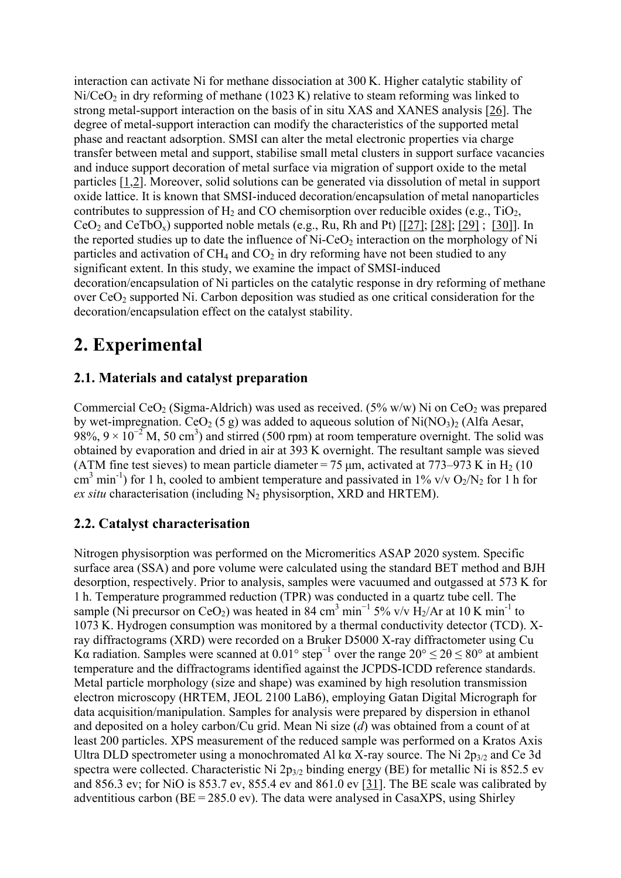interaction can activate Ni for methane dissociation at 300 K. Higher catalytic stability of  $Ni/CeO<sub>2</sub>$  in dry reforming of methane (1023 K) relative to steam reforming was linked to strong metal-support interaction on the basis of in situ XAS and XANES analysis [26]. The degree of metal-support interaction can modify the characteristics of the supported metal phase and reactant adsorption. SMSI can alter the metal electronic properties via charge transfer between metal and support, stabilise small metal clusters in support surface vacancies and induce support decoration of metal surface via migration of support oxide to the metal particles [1,2]. Moreover, solid solutions can be generated via dissolution of metal in support oxide lattice. It is known that SMSI-induced decoration/encapsulation of metal nanoparticles contributes to suppression of  $H_2$  and CO chemisorption over reducible oxides (e.g., TiO<sub>2</sub>, CeO<sub>2</sub> and CeTbO<sub>x</sub>) supported noble metals (e.g., Ru, Rh and Pt)  $[27]$ ; [28]; [29] ; [30]]. In the reported studies up to date the influence of  $Ni$ -CeO<sub>2</sub> interaction on the morphology of Ni particles and activation of  $CH_4$  and  $CO_2$  in dry reforming have not been studied to any significant extent. In this study, we examine the impact of SMSI-induced decoration/encapsulation of Ni particles on the catalytic response in dry reforming of methane over  $CeO<sub>2</sub>$  supported Ni. Carbon deposition was studied as one critical consideration for the decoration/encapsulation effect on the catalyst stability.

## **2. Experimental**

### **2.1. Materials and catalyst preparation**

Commercial CeO<sub>2</sub> (Sigma-Aldrich) was used as received. (5% w/w) Ni on CeO<sub>2</sub> was prepared by wet-impregnation. CeO<sub>2</sub> (5 g) was added to aqueous solution of Ni(NO<sub>3</sub>)<sub>2</sub> (Alfa Aesar, 98%,  $9 \times 10^{-2}$  M, 50 cm<sup>3</sup>) and stirred (500 rpm) at room temperature overnight. The solid was obtained by evaporation and dried in air at 393 K overnight. The resultant sample was sieved (ATM fine test sieves) to mean particle diameter = 75  $\mu$ m, activated at 773–973 K in H<sub>2</sub> (10) cm<sup>3</sup> min<sup>-1</sup>) for 1 h, cooled to ambient temperature and passivated in 1% v/v O<sub>2</sub>/N<sub>2</sub> for 1 h for *ex situ* characterisation (including  $N_2$  physisorption, XRD and HRTEM).

### **2.2. Catalyst characterisation**

Nitrogen physisorption was performed on the Micromeritics ASAP 2020 system. Specific surface area (SSA) and pore volume were calculated using the standard BET method and BJH desorption, respectively. Prior to analysis, samples were vacuumed and outgassed at 573 K for 1 h. Temperature programmed reduction (TPR) was conducted in a quartz tube cell. The sample (Ni precursor on CeO<sub>2</sub>) was heated in 84 cm<sup>3</sup> min<sup>-1</sup> 5% v/v  $H_2/Ar$  at 10 K min<sup>-1</sup> to 1073 K. Hydrogen consumption was monitored by a thermal conductivity detector (TCD). Xray diffractograms (XRD) were recorded on a Bruker D5000 X-ray diffractometer using Cu Kα radiation. Samples were scanned at 0.01° step<sup>-1</sup> over the range  $20^{\circ} \le 2\theta \le 80^{\circ}$  at ambient temperature and the diffractograms identified against the JCPDS-ICDD reference standards. Metal particle morphology (size and shape) was examined by high resolution transmission electron microscopy (HRTEM, JEOL 2100 LaB6), employing Gatan Digital Micrograph for data acquisition/manipulation. Samples for analysis were prepared by dispersion in ethanol and deposited on a holey carbon/Cu grid. Mean Ni size (*d*) was obtained from a count of at least 200 particles. XPS measurement of the reduced sample was performed on a Kratos Axis Ultra DLD spectrometer using a monochromated Al ka X-ray source. The Ni  $2p_{3/2}$  and Ce 3d spectra were collected. Characteristic Ni  $2p_{3/2}$  binding energy (BE) for metallic Ni is 852.5 ev and 856.3 ev; for NiO is 853.7 ev, 855.4 ev and 861.0 ev [31]. The BE scale was calibrated by adventitious carbon (BE = 285.0 ev). The data were analysed in CasaXPS, using Shirley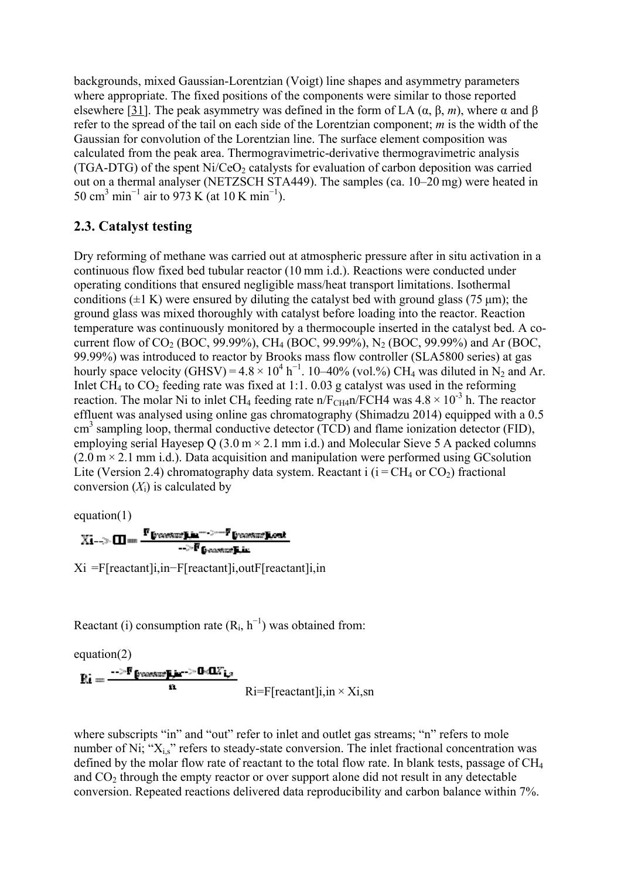backgrounds, mixed Gaussian-Lorentzian (Voigt) line shapes and asymmetry parameters where appropriate. The fixed positions of the components were similar to those reported elsewhere [31]. The peak asymmetry was defined in the form of LA (α, β, *m*), where α and β refer to the spread of the tail on each side of the Lorentzian component; *m* is the width of the Gaussian for convolution of the Lorentzian line. The surface element composition was calculated from the peak area. Thermogravimetric-derivative thermogravimetric analysis (TGA-DTG) of the spent  $Ni/CeO<sub>2</sub>$  catalysts for evaluation of carbon deposition was carried out on a thermal analyser (NETZSCH STA449). The samples (ca. 10–20 mg) were heated in 50 cm<sup>3</sup> min<sup>-1</sup> air to 973 K (at 10 K min<sup>-1</sup>).

### **2.3. Catalyst testing**

Dry reforming of methane was carried out at atmospheric pressure after in situ activation in a continuous flow fixed bed tubular reactor (10 mm i.d.). Reactions were conducted under operating conditions that ensured negligible mass/heat transport limitations. Isothermal conditions  $(\pm 1 \text{ K})$  were ensured by diluting the catalyst bed with ground glass (75  $\mu$ m); the ground glass was mixed thoroughly with catalyst before loading into the reactor. Reaction temperature was continuously monitored by a thermocouple inserted in the catalyst bed. A cocurrent flow of CO<sub>2</sub> (BOC, 99.99%), CH<sub>4</sub> (BOC, 99.99%), N<sub>2</sub> (BOC, 99.99%) and Ar (BOC, 99.99%) was introduced to reactor by Brooks mass flow controller (SLA5800 series) at gas hourly space velocity (GHSV) =  $4.8 \times 10^4$  h<sup>-1</sup>. 10–40% (vol.%) CH<sub>4</sub> was diluted in N<sub>2</sub> and Ar. Inlet  $CH_4$  to  $CO_2$  feeding rate was fixed at 1:1. 0.03 g catalyst was used in the reforming reaction. The molar Ni to inlet CH<sub>4</sub> feeding rate n/F<sub>CH4</sub>n/FCH4 was  $4.8 \times 10^{-3}$  h. The reactor effluent was analysed using online gas chromatography (Shimadzu 2014) equipped with a 0.5 cm<sup>3</sup> sampling loop, thermal conductive detector (TCD) and flame ionization detector (FID), employing serial Hayesep Q (3.0 m × 2.1 mm i.d.) and Molecular Sieve 5 A packed columns  $(2.0 \text{ m} \times 2.1 \text{ mm} \text{ i.d.})$ . Data acquisition and manipulation were performed using GCsolution Lite (Version 2.4) chromatography data system. Reactant i  $(i = CH_4 \text{ or } CO_2)$  fractional conversion  $(X_i)$  is calculated by

equation $(1)$ 

$$
\chi_{1-\cdot}:\prod \mathfrak{m} \xrightarrow{\mathbf{F}}\underline{\mathfrak{F}} \text{constant} \underline{\mathfrak{f}} \underline{\mathfrak{g}} \mathfrak{m}^{-\cdot} \xrightarrow{\mathfrak{m}\cdot \mathbf{F}}\underline{\mathfrak{f}} \text{constant} \underline{\mathfrak{f}} \underline{\mathfrak{g}} \mathfrak{m} \mathfrak{h}
$$

Xi  =F[reactant]i,in−F[reactant]i,outF[reactant]i,in

Reactant (i) consumption rate  $(R_i, h^{-1})$  was obtained from:

equation(2)  $\label{eq:R} \mathbf{R} \mathbf{i} = \frac{ - \mathbf{P} \mathbf{F} \mathbf{F} \cos \theta \mathbf{F} \mathbf{j} \mathbf{r} \mathbf{r}^{-1} \mathbf{B} \mathbf{r} \mathbf{D} \mathbf{r}^{\prime} \mathbf{j} \mathbf{r}}{\alpha}$ Ri=F[reactant]i,in × Xi,sn

where subscripts "in" and "out" refer to inlet and outlet gas streams; "n" refers to mole number of Ni; "X<sub>i,s</sub>" refers to steady-state conversion. The inlet fractional concentration was defined by the molar flow rate of reactant to the total flow rate. In blank tests, passage of CH<sub>4</sub> and  $CO<sub>2</sub>$  through the empty reactor or over support alone did not result in any detectable conversion. Repeated reactions delivered data reproducibility and carbon balance within 7%.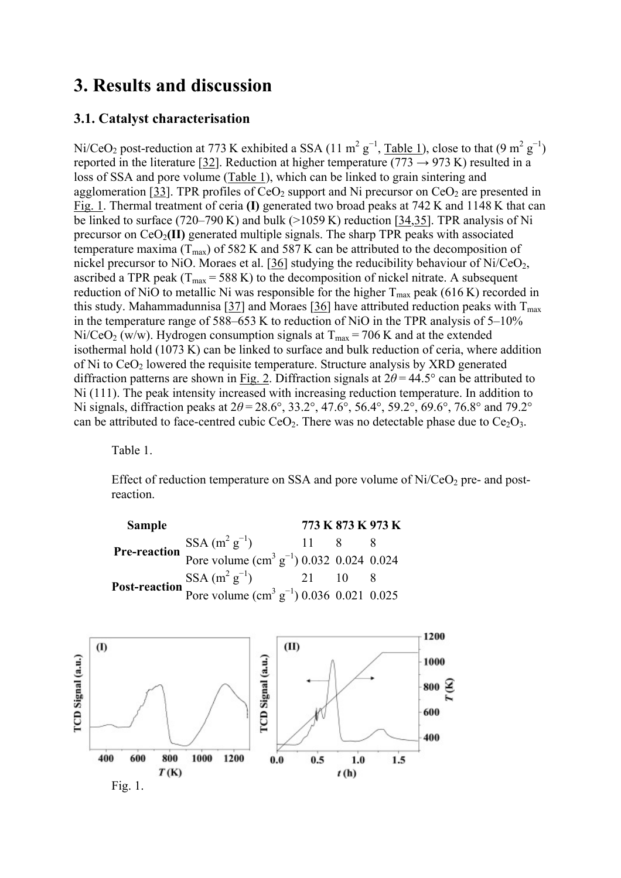## **3. Results and discussion**

### **3.1. Catalyst characterisation**

Ni/CeO<sub>2</sub> post-reduction at 773 K exhibited a SSA (11 m<sup>2</sup> g<sup>-1</sup>, Table 1), close to that (9 m<sup>2</sup> g<sup>-1</sup>) reported in the literature [32]. Reduction at higher temperature (773  $\rightarrow$  973 K) resulted in a loss of SSA and pore volume (Table 1), which can be linked to grain sintering and agglomeration [33]. TPR profiles of  $CeO<sub>2</sub>$  support and Ni precursor on  $CeO<sub>2</sub>$  are presented in Fig. 1. Thermal treatment of ceria **(I)** generated two broad peaks at 742 K and 1148 K that can be linked to surface (720–790 K) and bulk (>1059 K) reduction [34,35]. TPR analysis of Ni precursor on  $CeO<sub>2</sub>(II)$  generated multiple signals. The sharp TPR peaks with associated temperature maxima ( $T_{\text{max}}$ ) of 582 K and 587 K can be attributed to the decomposition of nickel precursor to NiO. Moraes et al.  $[36]$  studying the reducibility behaviour of Ni/CeO<sub>2</sub>, ascribed a TPR peak ( $T_{\text{max}}$  = 588 K) to the decomposition of nickel nitrate. A subsequent reduction of NiO to metallic Ni was responsible for the higher  $T_{\text{max}}$  peak (616 $K$ ) recorded in this study. Mahammadunnisa [37] and Moraes [36] have attributed reduction peaks with  $T_{\text{max}}$ in the temperature range of 588–653 K to reduction of NiO in the TPR analysis of 5–10% Ni/CeO<sub>2</sub> (w/w). Hydrogen consumption signals at  $T_{\text{max}} = 706$  K and at the extended isothermal hold (1073 K) can be linked to surface and bulk reduction of ceria, where addition of Ni to  $CeO<sub>2</sub>$  lowered the requisite temperature. Structure analysis by XRD generated diffraction patterns are shown in <u>Fig. 2</u>. Diffraction signals at  $2\theta = 44.5^{\circ}$  can be attributed to Ni (111). The peak intensity increased with increasing reduction temperature. In addition to Ni signals, diffraction peaks at 2*θ* = 28.6°, 33.2°, 47.6°, 56.4°, 59.2°, 69.6°, 76.8° and 79.2° can be attributed to face-centred cubic  $CeO<sub>2</sub>$ . There was no detectable phase due to  $Ce<sub>2</sub>O<sub>3</sub>$ .

Table 1.

Effect of reduction temperature on SSA and pore volume of  $Ni/CeO<sub>2</sub>$  pre- and postreaction.



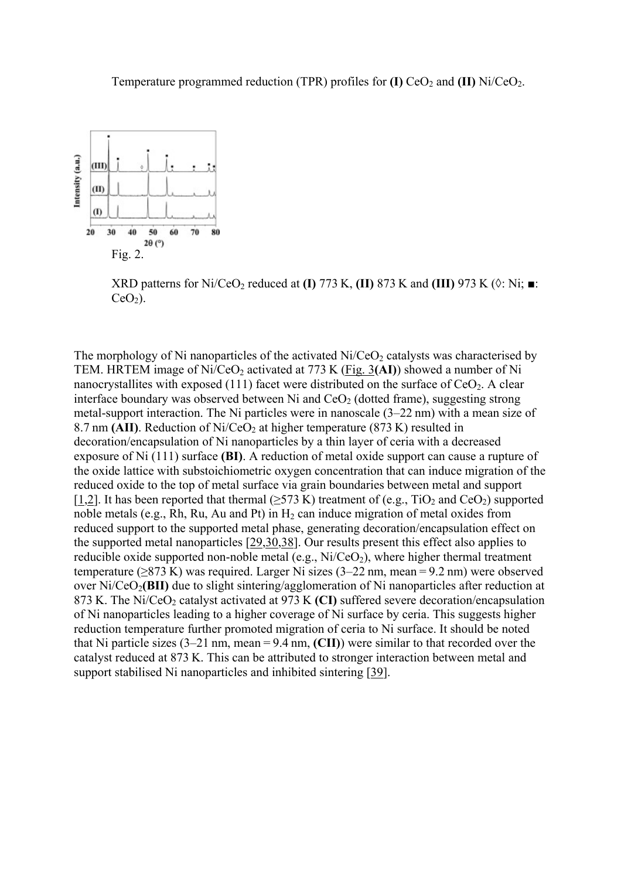

XRD patterns for Ni/CeO<sub>2</sub> reduced at **(I)** 773 K, **(II)** 873 K and **(III)** 973 K (◊: Ni; ■:  $CeO<sub>2</sub>$ ).

The morphology of Ni nanoparticles of the activated  $Ni/CeO<sub>2</sub>$  catalysts was characterised by TEM. HRTEM image of Ni/CeO<sub>2</sub> activated at 773 K (Fig. 3(AI)) showed a number of Ni nanocrystallites with exposed  $(111)$  facet were distributed on the surface of CeO<sub>2</sub>. A clear interface boundary was observed between Ni and  $CeO<sub>2</sub>$  (dotted frame), suggesting strong metal-support interaction. The Ni particles were in nanoscale (3–22 nm) with a mean size of 8.7 nm (AII). Reduction of Ni/CeO<sub>2</sub> at higher temperature (873 K) resulted in decoration/encapsulation of Ni nanoparticles by a thin layer of ceria with a decreased exposure of Ni (111) surface **(BI)**. A reduction of metal oxide support can cause a rupture of the oxide lattice with substoichiometric oxygen concentration that can induce migration of the reduced oxide to the top of metal surface via grain boundaries between metal and support [1,2]. It has been reported that thermal ( $\geq$ 573 K) treatment of (e.g., TiO<sub>2</sub> and CeO<sub>2</sub>) supported noble metals (e.g., Rh, Ru, Au and Pt) in  $H_2$  can induce migration of metal oxides from reduced support to the supported metal phase, generating decoration/encapsulation effect on the supported metal nanoparticles [29,30,38]. Our results present this effect also applies to reducible oxide supported non-noble metal (e.g.,  $Ni/CeO<sub>2</sub>$ ), where higher thermal treatment temperature (≥873 K) was required. Larger Ni sizes (3–22 nm, mean = 9.2 nm) were observed over Ni/CeO<sub>2</sub>(BII) due to slight sintering/agglomeration of Ni nanoparticles after reduction at 873 K. The Ni/CeO2 catalyst activated at 973 K **(CI)** suffered severe decoration/encapsulation of Ni nanoparticles leading to a higher coverage of Ni surface by ceria. This suggests higher reduction temperature further promoted migration of ceria to Ni surface. It should be noted that Ni particle sizes (3–21 nm, mean = 9.4 nm, **(CII)**) were similar to that recorded over the catalyst reduced at 873 K. This can be attributed to stronger interaction between metal and support stabilised Ni nanoparticles and inhibited sintering [39].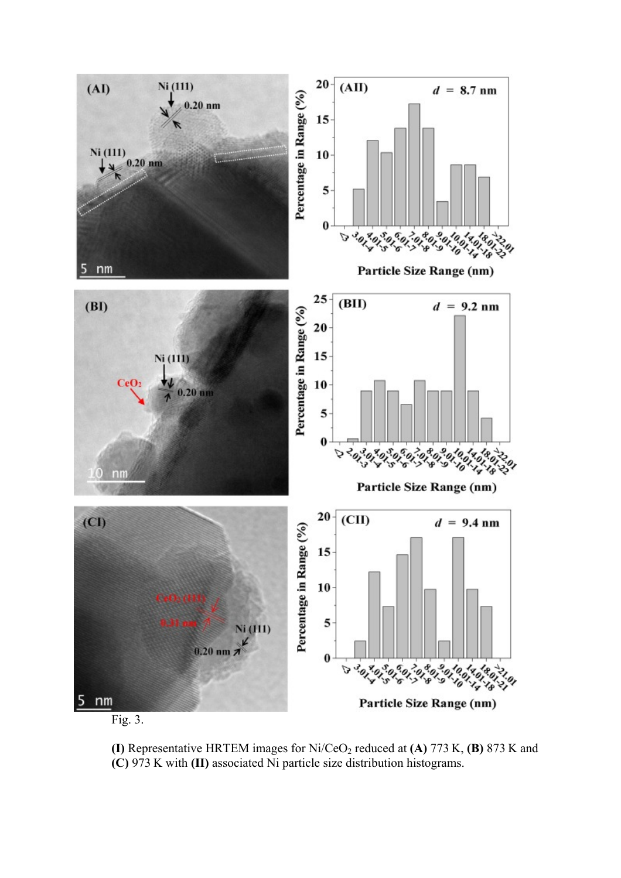



**(I)** Representative HRTEM images for Ni/CeO<sub>2</sub> reduced at **(A)** 773 K, **(B)** 873 K and **(C)** 973 K with **(II)** associated Ni particle size distribution histograms.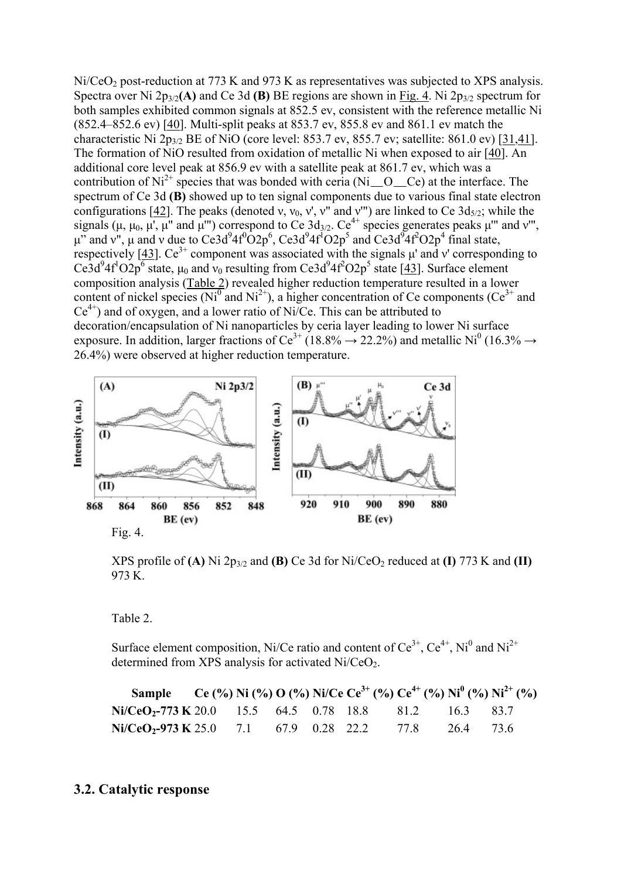Ni/CeO<sub>2</sub> post-reduction at 773 K and 973 K as representatives was subjected to XPS analysis. Spectra over Ni 2p3/2**(A)** and Ce 3d **(B)** BE regions are shown in Fig. 4. Ni 2p3/2 spectrum for both samples exhibited common signals at 852.5 ev, consistent with the reference metallic Ni (852.4–852.6 ev) [40]. Multi-split peaks at 853.7 ev, 855.8 ev and 861.1 ev match the characteristic Ni  $2p_{3/2}$  BE of NiO (core level: 853.7 ev, 855.7 ev; satellite: 861.0 ev) [31,41]. The formation of NiO resulted from oxidation of metallic Ni when exposed to air [40]. An additional core level peak at 856.9 ev with a satellite peak at 861.7 ev, which was a contribution of  $Ni^{2+}$  species that was bonded with ceria (Ni  $\_\mathrm{O}\_\mathrm{Ce}$ ) at the interface. The spectrum of Ce 3d **(B)** showed up to ten signal components due to various final state electron configurations  $[42]$ . The peaks (denoted v, v<sub>0</sub>, v', v'' and v''') are linked to Ce 3d<sub>5/2</sub>; while the signals ( $\mu$ ,  $\mu_0$ ,  $\mu'$ ,  $\mu''$  and  $\mu'''$ ) correspond to Ce 3d<sub>3/2</sub>. Ce<sup>4+</sup> species generates peaks  $\mu'''$  and v''', μ" and v", μ and v due to Ce3d<sup>9</sup>4f<sup>0</sup>O2p<sup>6</sup>, Ce3d<sup>9</sup>4f<sup>1</sup>O2p<sup>5</sup> and Ce3d<sup>9</sup>4f<sup>2</sup>O2p<sup>4</sup> final state, respectively [43].  $Ce^{3+}$  component was associated with the signals  $\mu$  and  $\nu$  corresponding to Ce3d<sup>9</sup>4f<sup>1</sup>O2p<sup>6</sup> state,  $\mu_0$  and  $\nu_0$  resulting from Ce3d<sup>9</sup>4f<sup>2</sup>O2p<sup>5</sup> state [43]. Surface element composition analysis (Table 2) revealed higher reduction temperature resulted in a lower content of nickel species ( $Ni<sup>0</sup>$  and  $Ni<sup>2+</sup>$ ), a higher concentration of Ce components (Ce<sup>3+</sup> and  $Ce^{4+}$ ) and of oxygen, and a lower ratio of Ni/Ce. This can be attributed to decoration/encapsulation of Ni nanoparticles by ceria layer leading to lower Ni surface exposure. In addition, larger fractions of Ce<sup>3+</sup> (18.8%  $\rightarrow$  22.2%) and metallic Ni<sup>0</sup> (16.3%  $\rightarrow$ 26.4%) were observed at higher reduction temperature.



XPS profile of **(A)** Ni 2p<sub>3/2</sub> and **(B)** Ce 3d for Ni/CeO<sub>2</sub> reduced at **(I)** 773 K and **(II)** 973 K.

Table 2.

Surface element composition, Ni/Ce ratio and content of  $Ce^{3+}$ ,  $Ce^{4+}$ , Ni<sup>0</sup> and Ni<sup>2+</sup> determined from XPS analysis for activated  $Ni/CeO<sub>2</sub>$ .

| Sample Ce (%) Ni (%) O (%) Ni/Ce Ce <sup>3+</sup> (%) Ce <sup>4+</sup> (%) Ni <sup>0</sup> (%) Ni <sup>2+</sup> (%) |  |  |  |           |  |
|---------------------------------------------------------------------------------------------------------------------|--|--|--|-----------|--|
| $Ni/CeO2$ -773 K 20.0 15.5 64.5 0.78 18.8 81.2                                                                      |  |  |  | 16.3 83.7 |  |
| $Ni/CeO2$ -973 K 25.0 7.1 67.9 0.28 22.2 77.8                                                                       |  |  |  | 26.4 73.6 |  |

### **3.2. Catalytic response**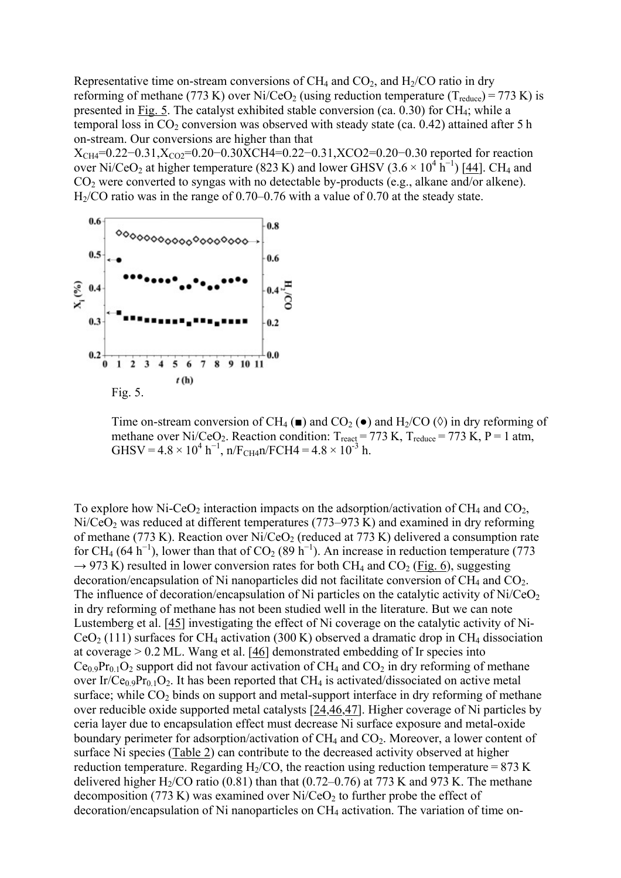Representative time on-stream conversions of  $CH_4$  and  $CO_2$ , and  $H_2/CO$  ratio in dry reforming of methane (773 K) over Ni/CeO<sub>2</sub> (using reduction temperature ( $T_{reduce}$ ) = 773 K) is presented in Fig. 5. The catalyst exhibited stable conversion (ca. 0.30) for CH4; while a temporal loss in  $CO<sub>2</sub>$  conversion was observed with steady state (ca. 0.42) attained after 5 h on-stream. Our conversions are higher than that

 $X<sub>CH4</sub>=0.22-0.31, X<sub>CO2</sub>=0.20-0.30XCH4=0.22-0.31, XCO2=0.20-0.30$  reported for reaction over Ni/CeO<sub>2</sub> at higher temperature (823 K) and lower GHSV (3.6  $\times$  10<sup>4</sup> h<sup>-1</sup>) [44]. CH<sub>4</sub> and  $CO<sub>2</sub>$  were converted to syngas with no detectable by-products (e.g., alkane and/or alkene). H2/CO ratio was in the range of 0.70–0.76 with a value of 0.70 at the steady state.



Time on-stream conversion of CH<sub>4</sub> ( $\blacksquare$ ) and CO<sub>2</sub> ( $\bullet$ ) and H<sub>2</sub>/CO ( $\lozenge$ ) in dry reforming of methane over Ni/CeO<sub>2</sub>. Reaction condition:  $T_{react} = 773$  K,  $T_{reduce} = 773$  K,  $P = 1$  atm, GHSV =  $4.8 \times 10^4$  h<sup>-1</sup>, n/F<sub>CH4</sub>n/FCH4 =  $4.8 \times 10^{-3}$  h.

To explore how Ni-CeO<sub>2</sub> interaction impacts on the adsorption/activation of CH<sub>4</sub> and CO<sub>2</sub>,  $Ni/CeO<sub>2</sub>$  was reduced at different temperatures (773–973 K) and examined in dry reforming of methane (773 $K$ ). Reaction over Ni/CeO<sub>2</sub> (reduced at 773 $K$ ) delivered a consumption rate for CH<sub>4</sub> (64 h<sup>-1</sup>), lower than that of CO<sub>2</sub> (89 h<sup>-1</sup>). An increase in reduction temperature (773  $\rightarrow$  973 K) resulted in lower conversion rates for both CH<sub>4</sub> and CO<sub>2</sub> (Fig. 6), suggesting decoration/encapsulation of Ni nanoparticles did not facilitate conversion of  $CH_4$  and  $CO_2$ . The influence of decoration/encapsulation of Ni particles on the catalytic activity of  $Ni/CeO<sub>2</sub>$ in dry reforming of methane has not been studied well in the literature. But we can note Lustemberg et al. [45] investigating the effect of Ni coverage on the catalytic activity of Ni- $CeO<sub>2</sub>$  (111) surfaces for CH<sub>4</sub> activation (300 $K$ ) observed a dramatic drop in CH<sub>4</sub> dissociation at coverage > 0.2 ML. Wang et al. [46] demonstrated embedding of Ir species into  $Ce<sub>0.9</sub>Pr<sub>0.1</sub>O<sub>2</sub>$  support did not favour activation of CH<sub>4</sub> and CO<sub>2</sub> in dry reforming of methane over Ir/Ce<sub>0.9</sub>Pr<sub>0.1</sub>O<sub>2</sub>. It has been reported that CH<sub>4</sub> is activated/dissociated on active metal surface; while  $CO<sub>2</sub>$  binds on support and metal-support interface in dry reforming of methane over reducible oxide supported metal catalysts [24,46,47]. Higher coverage of Ni particles by ceria layer due to encapsulation effect must decrease Ni surface exposure and metal-oxide boundary perimeter for adsorption/activation of  $CH_4$  and  $CO_2$ . Moreover, a lower content of surface Ni species (Table 2) can contribute to the decreased activity observed at higher reduction temperature. Regarding  $H_2/CO$ , the reaction using reduction temperature = 873 K delivered higher H<sub>2</sub>/CO ratio (0.81) than that (0.72–0.76) at 773 K and 973 K. The methane decomposition (773 $K$ ) was examined over Ni/CeO<sub>2</sub> to further probe the effect of decoration/encapsulation of Ni nanoparticles on CH<sub>4</sub> activation. The variation of time on-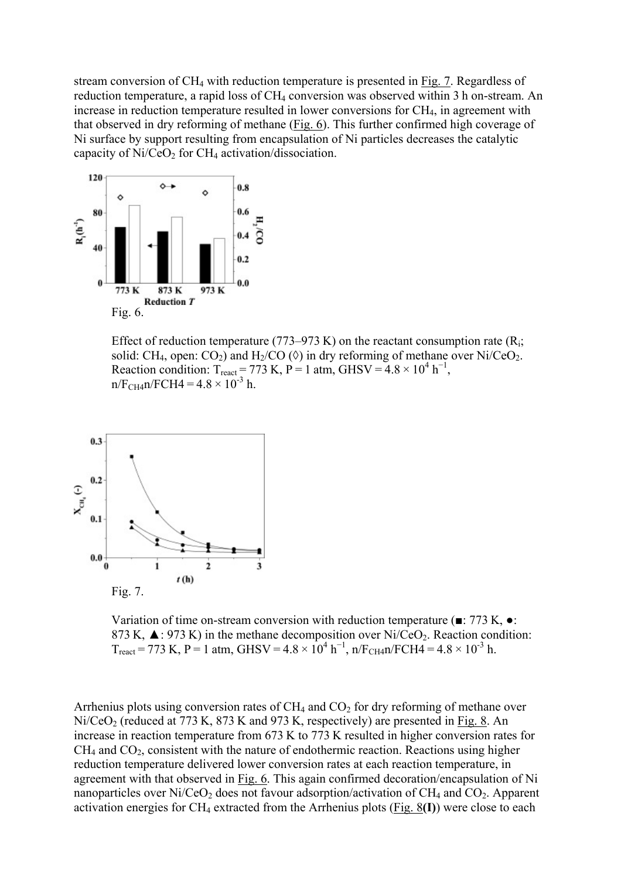stream conversion of CH4 with reduction temperature is presented in Fig. 7. Regardless of reduction temperature, a rapid loss of CH<sub>4</sub> conversion was observed within 3 h on-stream. An increase in reduction temperature resulted in lower conversions for CH4, in agreement with that observed in dry reforming of methane (Fig. 6). This further confirmed high coverage of Ni surface by support resulting from encapsulation of Ni particles decreases the catalytic capacity of  $Ni/CeO<sub>2</sub>$  for CH<sub>4</sub> activation/dissociation.



Effect of reduction temperature (773–973 K) on the reactant consumption rate  $(R_i;$ solid: CH<sub>4</sub>, open: CO<sub>2</sub>) and H<sub>2</sub>/CO ( $\Diamond$ ) in dry reforming of methane over Ni/CeO<sub>2</sub>. Reaction condition:  $T_{\text{react}} = 773 \text{ K}$ ,  $P = 1 \text{ atm}$ , GHSV $= 4.8 \times 10^4 \text{ h}^{-1}$ ,  $n/F_{CH4}n/FCH4 = 4.8 \times 10^{-3}$  h.



Variation of time on-stream conversion with reduction temperature (■: 773 K, ●: 873 K,  $\blacktriangle$ : 973 K) in the methane decomposition over Ni/CeO<sub>2</sub>. Reaction condition:  $T_{\text{react}} = 773 \text{ K}, P = 1 \text{ atm}, \text{GHSV} = 4.8 \times 10^4 \text{ h}^{-1}, \text{ n/F}_{\text{CH4}} \text{m} / \text{F} \text{CH4} = 4.8 \times 10^{-3} \text{ h}.$ 

Arrhenius plots using conversion rates of  $CH_4$  and  $CO_2$  for dry reforming of methane over Ni/CeO<sub>2</sub> (reduced at 773 K, 873 K and 973 K, respectively) are presented in Fig. 8. An increase in reaction temperature from 673 K to 773 K resulted in higher conversion rates for  $CH<sub>4</sub>$  and  $CO<sub>2</sub>$ , consistent with the nature of endothermic reaction. Reactions using higher reduction temperature delivered lower conversion rates at each reaction temperature, in agreement with that observed in Fig. 6. This again confirmed decoration/encapsulation of Ni nanoparticles over  $Ni/CeO<sub>2</sub>$  does not favour adsorption/activation of  $CH<sub>4</sub>$  and  $CO<sub>2</sub>$ . Apparent activation energies for CH4 extracted from the Arrhenius plots (Fig. 8**(I)**) were close to each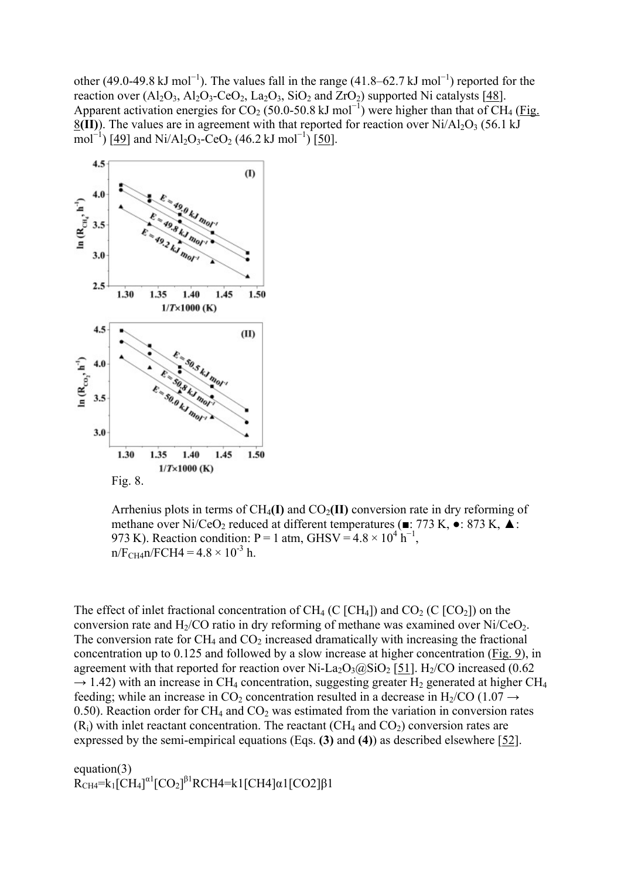other (49.0-49.8 kJ mol<sup>-1</sup>). The values fall in the range (41.8–62.7 kJ mol<sup>-1</sup>) reported for the reaction over  $(A_1O_3, A_1O_3$ -CeO<sub>2</sub>, La<sub>2</sub>O<sub>3</sub>, SiO<sub>2</sub> and ZrO<sub>2</sub>) supported Ni catalysts [48]. Apparent activation energies for  $CO_2$  (50.0-50.8 kJ mol<sup>-1</sup>) were higher than that of CH<sub>4</sub> (Fig. 8(II)). The values are in agreement with that reported for reaction over  $Ni/Al<sub>2</sub>O<sub>3</sub>$  (56.1 kJ) mol<sup>-1</sup>) [49] and Ni/Al<sub>2</sub>O<sub>3</sub>-CeO<sub>2</sub> (46.2 kJ mol<sup>-1</sup>) [50].



Arrhenius plots in terms of  $CH_4(I)$  and  $CO_2(I)$  conversion rate in dry reforming of methane over Ni/CeO<sub>2</sub> reduced at different temperatures ( $\blacksquare$ : 773 K,  $\bullet$ : 873 K,  $\blacktriangle$ : 973 K). Reaction condition: P = 1 atm, GHSV =  $4.8 \times 10^4$  h<sup>-1</sup>,  $n/F<sub>CH4</sub>n/FCH4 = 4.8 \times 10^{-3}$  h.

The effect of inlet fractional concentration of  $CH_4$  (C  $[CH_4]$ ) and CO<sub>2</sub> (C  $[CO_2]$ ) on the conversion rate and  $H<sub>2</sub>/CO$  ratio in dry reforming of methane was examined over Ni/CeO<sub>2</sub>. The conversion rate for  $CH_4$  and  $CO_2$  increased dramatically with increasing the fractional concentration up to 0.125 and followed by a slow increase at higher concentration (Fig. 9), in agreement with that reported for reaction over Ni-La<sub>2</sub>O<sub>3</sub> $@SiO_2$  [51]. H<sub>2</sub>/CO increased (0.62)  $\rightarrow$  1.42) with an increase in CH<sub>4</sub> concentration, suggesting greater H<sub>2</sub> generated at higher CH<sub>4</sub> feeding; while an increase in CO<sub>2</sub> concentration resulted in a decrease in H<sub>2</sub>/CO (1.07  $\rightarrow$ 0.50). Reaction order for  $CH_4$  and  $CO_2$  was estimated from the variation in conversion rates  $(R<sub>i</sub>)$  with inlet reactant concentration. The reactant (CH<sub>4</sub> and CO<sub>2</sub>) conversion rates are expressed by the semi-empirical equations (Eqs. **(3)** and **(4)**) as described elsewhere [52].

equation(3)  $R_{CH4} = k_1 [CH_4]^{\alpha 1} [CO_2]^{\beta 1} RCH4 = k1 [CH4] \alpha 1 [CO2] \beta 1$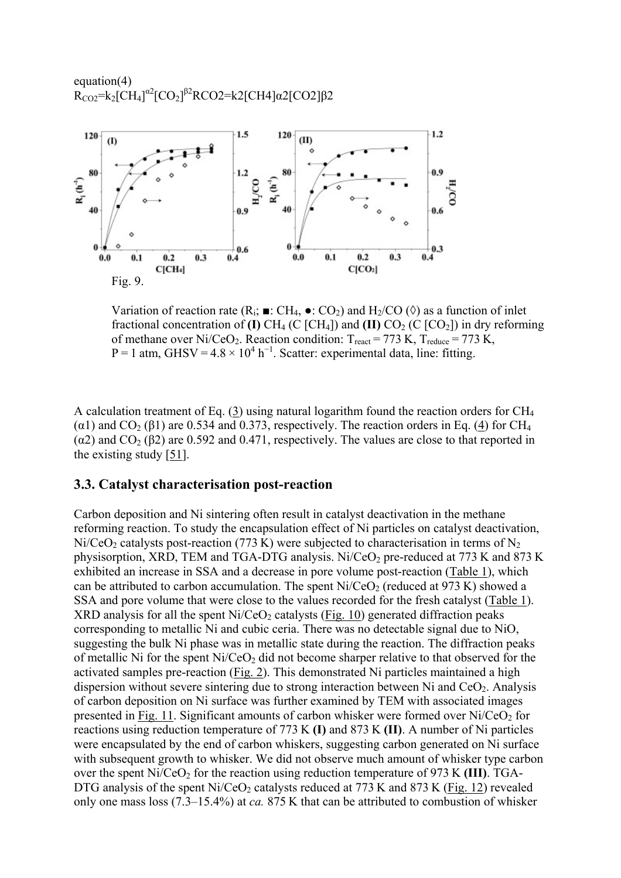equation(4)  $R_{CO2} = k_2 [CH_4]^{\alpha^2} [CO_2]^{\beta^2} RCO2 = k_2 [CH4] \alpha^2 [CO2] \beta^2$ 



Variation of reaction rate  $(R_i; \blacksquare: CH_4, \blacklozenge: CO_2)$  and  $H_2/CO$  ( $\lozenge$ ) as a function of inlet fractional concentration of **(I)** CH<sub>4</sub> (C [CH<sub>4</sub>]) and **(II)** CO<sub>2</sub> (C [CO<sub>2</sub>]) in dry reforming of methane over Ni/CeO<sub>2</sub>. Reaction condition:  $T_{\text{react}} = 773 \text{ K}$ ,  $T_{\text{reduce}} = 773 \text{ K}$ ,  $P = 1$  atm, GHSV =  $4.8 \times 10^4$  h<sup>-1</sup>. Scatter: experimental data, line: fitting.

A calculation treatment of Eq. (3) using natural logarithm found the reaction orders for CH4 (α1) and  $CO_2$  (β1) are 0.534 and 0.373, respectively. The reaction orders in Eq. (4) for CH<sub>4</sub> ( $\alpha$ 2) and CO<sub>2</sub> ( $\beta$ 2) are 0.592 and 0.471, respectively. The values are close to that reported in the existing study [51].

### **3.3. Catalyst characterisation post-reaction**

Carbon deposition and Ni sintering often result in catalyst deactivation in the methane reforming reaction. To study the encapsulation effect of Ni particles on catalyst deactivation,  $Ni/CeO<sub>2</sub>$  catalysts post-reaction (773 K) were subjected to characterisation in terms of N<sub>2</sub> physisorption, XRD, TEM and TGA-DTG analysis. Ni/CeO<sub>2</sub> pre-reduced at 773 K and 873 K exhibited an increase in SSA and a decrease in pore volume post-reaction (Table 1), which can be attributed to carbon accumulation. The spent  $Ni/CeO<sub>2</sub>$  (reduced at 973 K) showed a SSA and pore volume that were close to the values recorded for the fresh catalyst (Table 1). XRD analysis for all the spent  $Ni/CeO<sub>2</sub>$  catalysts (Fig. 10) generated diffraction peaks corresponding to metallic Ni and cubic ceria. There was no detectable signal due to NiO, suggesting the bulk Ni phase was in metallic state during the reaction. The diffraction peaks of metallic Ni for the spent  $Ni/CeO<sub>2</sub>$  did not become sharper relative to that observed for the activated samples pre-reaction (Fig. 2). This demonstrated Ni particles maintained a high dispersion without severe sintering due to strong interaction between Ni and  $CeO<sub>2</sub>$ . Analysis of carbon deposition on Ni surface was further examined by TEM with associated images presented in Fig. 11. Significant amounts of carbon whisker were formed over  $Ni/CeO<sub>2</sub>$  for reactions using reduction temperature of 773 K **(I)** and 873 K **(II)**. A number of Ni particles were encapsulated by the end of carbon whiskers, suggesting carbon generated on Ni surface with subsequent growth to whisker. We did not observe much amount of whisker type carbon over the spent  $Ni/CeO<sub>2</sub>$  for the reaction using reduction temperature of 973 K **(III)**. TGA-DTG analysis of the spent Ni/CeO<sub>2</sub> catalysts reduced at 773 K and 873 K ( $Fig. 12$ ) revealed</u> only one mass loss (7.3–15.4%) at *ca.* 875 K that can be attributed to combustion of whisker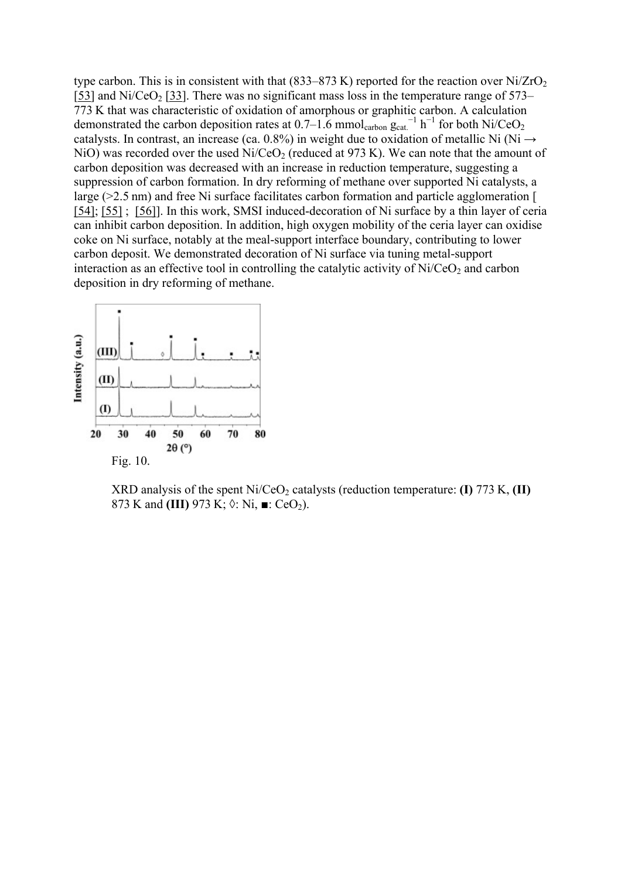type carbon. This is in consistent with that  $(833-873 \text{ K})$  reported for the reaction over Ni/ZrO<sub>2</sub> [53] and Ni/CeO<sub>2</sub> [33]. There was no significant mass loss in the temperature range of 573– 773 K that was characteristic of oxidation of amorphous or graphitic carbon. A calculation demonstrated the carbon deposition rates at 0.7–1.6 mmol<sub>carbon</sub>  $g_{cat.}^{-1}$  h<sup>-1</sup> for both Ni/CeO<sub>2</sub> catalysts. In contrast, an increase (ca. 0.8%) in weight due to oxidation of metallic Ni (Ni  $\rightarrow$ NiO) was recorded over the used  $Ni/CeO<sub>2</sub>$  (reduced at 973 K). We can note that the amount of carbon deposition was decreased with an increase in reduction temperature, suggesting a suppression of carbon formation. In dry reforming of methane over supported Ni catalysts, a large (>2.5 nm) and free Ni surface facilitates carbon formation and particle agglomeration [ [54]; [55] ; [56]]. In this work, SMSI induced-decoration of Ni surface by a thin layer of ceria can inhibit carbon deposition. In addition, high oxygen mobility of the ceria layer can oxidise coke on Ni surface, notably at the meal-support interface boundary, contributing to lower carbon deposit. We demonstrated decoration of Ni surface via tuning metal-support interaction as an effective tool in controlling the catalytic activity of  $Ni/CeO<sub>2</sub>$  and carbon deposition in dry reforming of methane.



XRD analysis of the spent  $Ni/CeO<sub>2</sub>$  catalysts (reduction temperature: **(I)** 773 $K$ , **(II)**  $873$ **K** and **(III)** 973 **K**; ◊: Ni, ■: CeO<sub>2</sub>).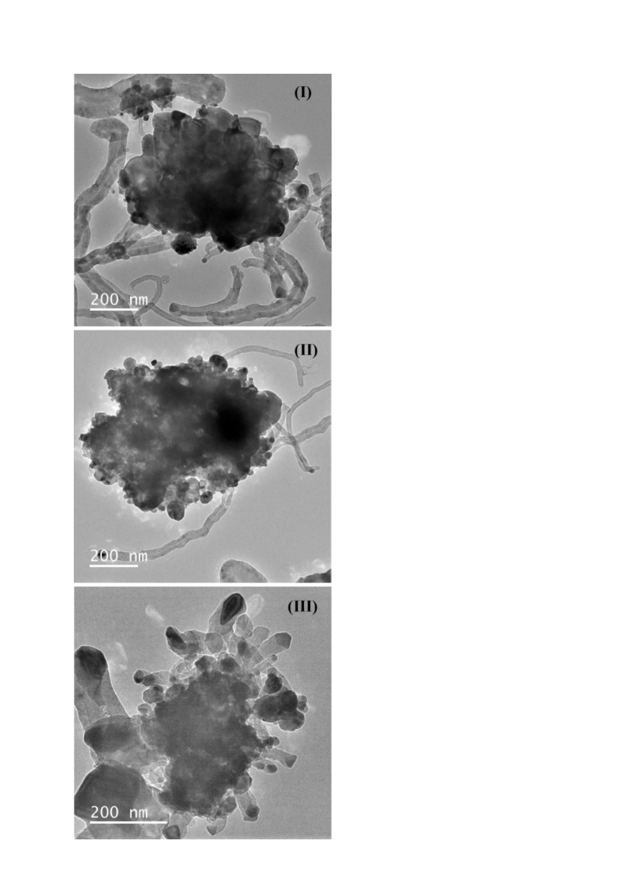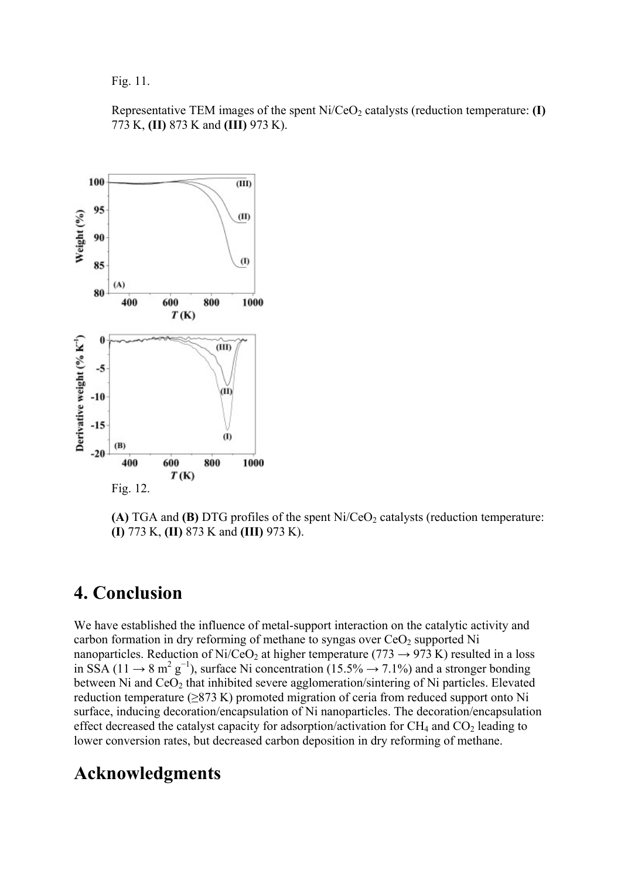Fig. 11.

Representative TEM images of the spent  $Ni/CeO<sub>2</sub>$  catalysts (reduction temperature: **(I)** 773 K, **(II)** 873 K and **(III)** 973 K).



**(A)** TGA and **(B)** DTG profiles of the spent  $Ni/CeO<sub>2</sub>$  catalysts (reduction temperature: **(I)** 773 K, **(II)** 873 K and **(III)** 973 K).

## **4. Conclusion**

We have established the influence of metal-support interaction on the catalytic activity and carbon formation in dry reforming of methane to syngas over  $CeO<sub>2</sub>$  supported Ni nanoparticles. Reduction of Ni/CeO<sub>2</sub> at higher temperature (773  $\rightarrow$  973 K) resulted in a loss in SSA (11  $\rightarrow$  8 m<sup>2</sup> g<sup>-1</sup>), surface Ni concentration (15.5%  $\rightarrow$  7.1%) and a stronger bonding between Ni and  $CeO<sub>2</sub>$  that inhibited severe agglomeration/sintering of Ni particles. Elevated reduction temperature (≥873 K) promoted migration of ceria from reduced support onto Ni surface, inducing decoration/encapsulation of Ni nanoparticles. The decoration/encapsulation effect decreased the catalyst capacity for adsorption/activation for  $CH_4$  and  $CO_2$  leading to lower conversion rates, but decreased carbon deposition in dry reforming of methane.

### **Acknowledgments**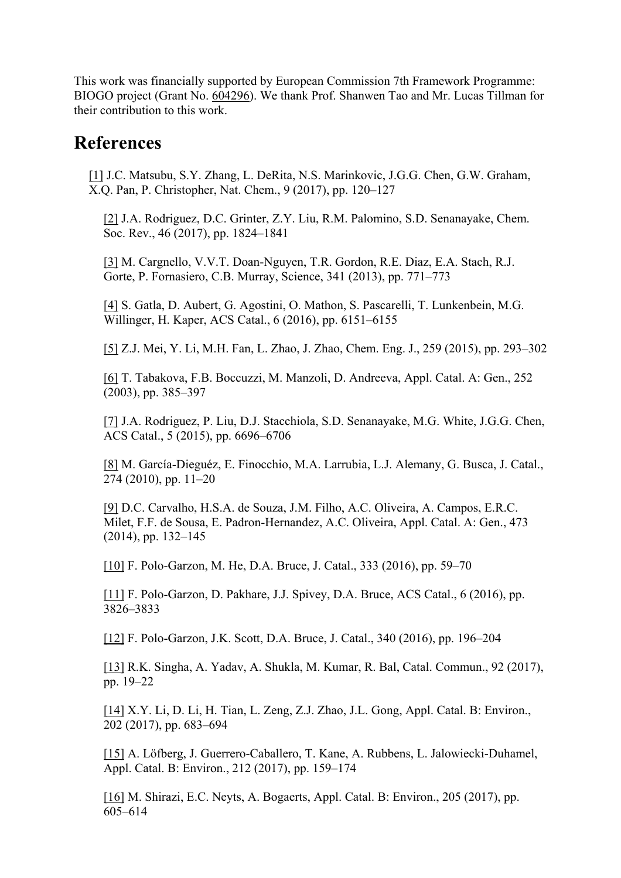This work was financially supported by European Commission 7th Framework Programme: BIOGO project (Grant No. 604296). We thank Prof. Shanwen Tao and Mr. Lucas Tillman for their contribution to this work.

## **References**

[1] J.C. Matsubu, S.Y. Zhang, L. DeRita, N.S. Marinkovic, J.G.G. Chen, G.W. Graham, X.Q. Pan, P. Christopher, Nat. Chem., 9 (2017), pp. 120–127

[2] J.A. Rodriguez, D.C. Grinter, Z.Y. Liu, R.M. Palomino, S.D. Senanayake, Chem. Soc. Rev., 46 (2017), pp. 1824–1841

[3] M. Cargnello, V.V.T. Doan-Nguyen, T.R. Gordon, R.E. Diaz, E.A. Stach, R.J. Gorte, P. Fornasiero, C.B. Murray, Science, 341 (2013), pp. 771–773

[4] S. Gatla, D. Aubert, G. Agostini, O. Mathon, S. Pascarelli, T. Lunkenbein, M.G. Willinger, H. Kaper, ACS Catal., 6 (2016), pp. 6151–6155

[5] Z.J. Mei, Y. Li, M.H. Fan, L. Zhao, J. Zhao, Chem. Eng. J., 259 (2015), pp. 293–302

[6] T. Tabakova, F.B. Boccuzzi, M. Manzoli, D. Andreeva, Appl. Catal. A: Gen., 252 (2003), pp. 385–397

[7] J.A. Rodriguez, P. Liu, D.J. Stacchiola, S.D. Senanayake, M.G. White, J.G.G. Chen, ACS Catal., 5 (2015), pp. 6696–6706

[8] M. García-Dieguéz, E. Finocchio, M.A. Larrubia, L.J. Alemany, G. Busca, J. Catal., 274 (2010), pp. 11–20

[9] D.C. Carvalho, H.S.A. de Souza, J.M. Filho, A.C. Oliveira, A. Campos, E.R.C. Milet, F.F. de Sousa, E. Padron-Hernandez, A.C. Oliveira, Appl. Catal. A: Gen., 473 (2014), pp. 132–145

[10] F. Polo-Garzon, M. He, D.A. Bruce, J. Catal., 333 (2016), pp. 59–70

[11] F. Polo-Garzon, D. Pakhare, J.J. Spivey, D.A. Bruce, ACS Catal., 6 (2016), pp. 3826–3833

[12] F. Polo-Garzon, J.K. Scott, D.A. Bruce, J. Catal., 340 (2016), pp. 196–204

[13] R.K. Singha, A. Yadav, A. Shukla, M. Kumar, R. Bal, Catal. Commun., 92 (2017), pp. 19–22

[14] X.Y. Li, D. Li, H. Tian, L. Zeng, Z.J. Zhao, J.L. Gong, Appl. Catal. B: Environ., 202 (2017), pp. 683–694

[15] A. Löfberg, J. Guerrero-Caballero, T. Kane, A. Rubbens, L. Jalowiecki-Duhamel, Appl. Catal. B: Environ., 212 (2017), pp. 159–174

[16] M. Shirazi, E.C. Neyts, A. Bogaerts, Appl. Catal. B: Environ., 205 (2017), pp. 605–614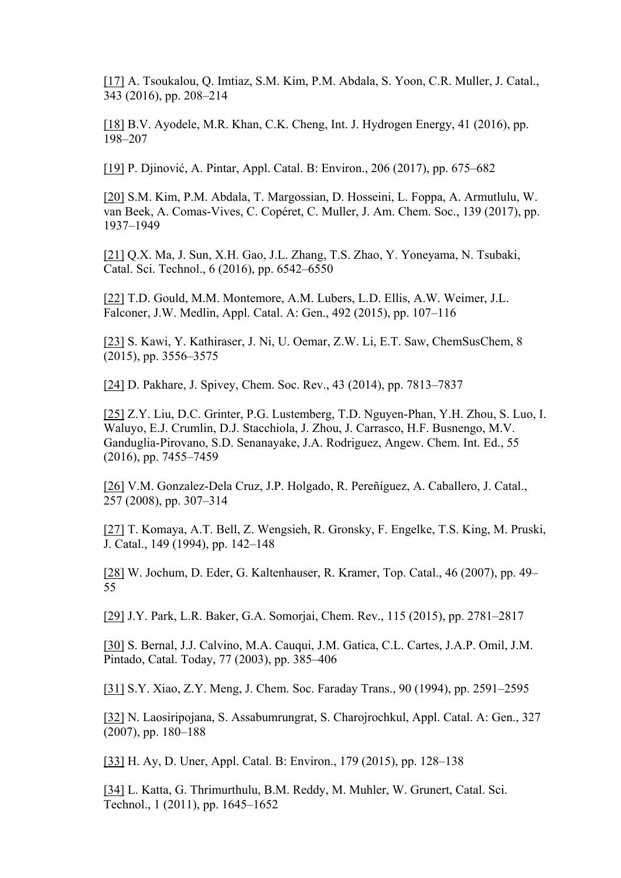[17] A. Tsoukalou, Q. Imtiaz, S.M. Kim, P.M. Abdala, S. Yoon, C.R. Muller, J. Catal., 343 (2016), pp. 208–214

[18] B.V. Ayodele, M.R. Khan, C.K. Cheng, Int. J. Hydrogen Energy, 41 (2016), pp. 198–207

[19] P. Djinović, A. Pintar, Appl. Catal. B: Environ., 206 (2017), pp. 675–682

[20] S.M. Kim, P.M. Abdala, T. Margossian, D. Hosseini, L. Foppa, A. Armutlulu, W. van Beek, A. Comas-Vives, C. Copéret, C. Muller, J. Am. Chem. Soc., 139 (2017), pp. 1937–1949

[21] Q.X. Ma, J. Sun, X.H. Gao, J.L. Zhang, T.S. Zhao, Y. Yoneyama, N. Tsubaki, Catal. Sci. Technol., 6 (2016), pp. 6542–6550

[22] T.D. Gould, M.M. Montemore, A.M. Lubers, L.D. Ellis, A.W. Weimer, J.L. Falconer, J.W. Medlin, Appl. Catal. A: Gen., 492 (2015), pp. 107–116

[23] S. Kawi, Y. Kathiraser, J. Ni, U. Oemar, Z.W. Li, E.T. Saw, ChemSusChem, 8 (2015), pp. 3556–3575

[24] D. Pakhare, J. Spivey, Chem. Soc. Rev., 43 (2014), pp. 7813–7837

[25] Z.Y. Liu, D.C. Grinter, P.G. Lustemberg, T.D. Nguyen-Phan, Y.H. Zhou, S. Luo, I. Waluyo, E.J. Crumlin, D.J. Stacchiola, J. Zhou, J. Carrasco, H.F. Busnengo, M.V. Ganduglia-Pirovano, S.D. Senanayake, J.A. Rodriguez, Angew. Chem. Int. Ed., 55 (2016), pp. 7455–7459

[26] V.M. Gonzalez-Dela Cruz, J.P. Holgado, R. Pereñíguez, A. Caballero, J. Catal., 257 (2008), pp. 307–314

[27] T. Komaya, A.T. Bell, Z. Wengsieh, R. Gronsky, F. Engelke, T.S. King, M. Pruski, J. Catal., 149 (1994), pp. 142–148

[28] W. Jochum, D. Eder, G. Kaltenhauser, R. Kramer, Top. Catal., 46 (2007), pp. 49– 55

[29] J.Y. Park, L.R. Baker, G.A. Somorjai, Chem. Rev., 115 (2015), pp. 2781–2817

[30] S. Bernal, J.J. Calvino, M.A. Cauqui, J.M. Gatica, C.L. Cartes, J.A.P. Omil, J.M. Pintado, Catal. Today, 77 (2003), pp. 385–406

[31] S.Y. Xiao, Z.Y. Meng, J. Chem. Soc. Faraday Trans., 90 (1994), pp. 2591–2595

[32] N. Laosiripojana, S. Assabumrungrat, S. Charojrochkul, Appl. Catal. A: Gen., 327 (2007), pp. 180–188

[33] H. Ay, D. Uner, Appl. Catal. B: Environ., 179 (2015), pp. 128–138

[34] L. Katta, G. Thrimurthulu, B.M. Reddy, M. Muhler, W. Grunert, Catal. Sci. Technol., 1 (2011), pp. 1645–1652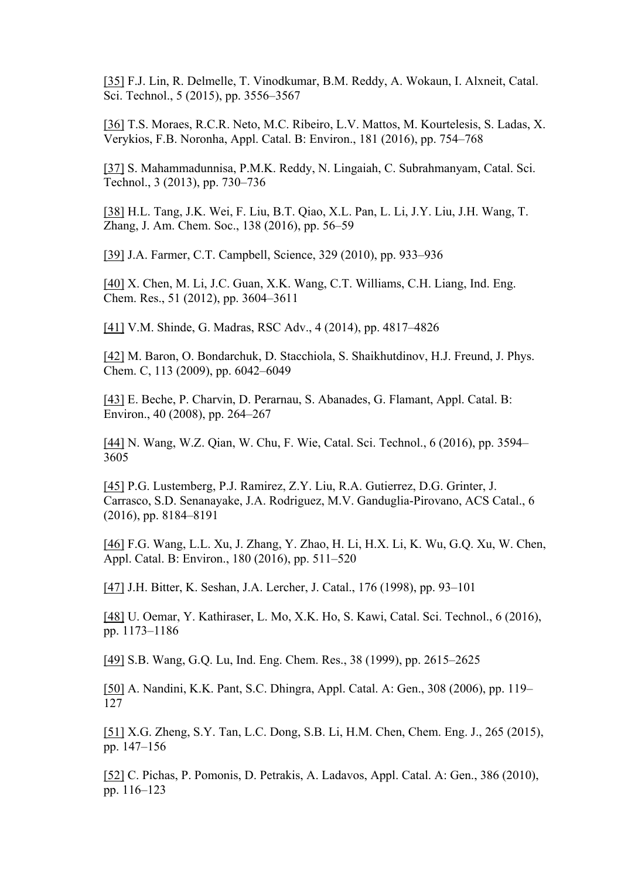[35] F.J. Lin, R. Delmelle, T. Vinodkumar, B.M. Reddy, A. Wokaun, I. Alxneit, Catal. Sci. Technol., 5 (2015), pp. 3556–3567

[36] T.S. Moraes, R.C.R. Neto, M.C. Ribeiro, L.V. Mattos, M. Kourtelesis, S. Ladas, X. Verykios, F.B. Noronha, Appl. Catal. B: Environ., 181 (2016), pp. 754–768

[37] S. Mahammadunnisa, P.M.K. Reddy, N. Lingaiah, C. Subrahmanyam, Catal. Sci. Technol., 3 (2013), pp. 730–736

[38] H.L. Tang, J.K. Wei, F. Liu, B.T. Qiao, X.L. Pan, L. Li, J.Y. Liu, J.H. Wang, T. Zhang, J. Am. Chem. Soc., 138 (2016), pp. 56–59

[39] J.A. Farmer, C.T. Campbell, Science, 329 (2010), pp. 933–936

[40] X. Chen, M. Li, J.C. Guan, X.K. Wang, C.T. Williams, C.H. Liang, Ind. Eng. Chem. Res., 51 (2012), pp. 3604–3611

[41] V.M. Shinde, G. Madras, RSC Adv., 4 (2014), pp. 4817–4826

[42] M. Baron, O. Bondarchuk, D. Stacchiola, S. Shaikhutdinov, H.J. Freund, J. Phys. Chem. C, 113 (2009), pp. 6042–6049

[43] E. Beche, P. Charvin, D. Perarnau, S. Abanades, G. Flamant, Appl. Catal. B: Environ., 40 (2008), pp. 264–267

[44] N. Wang, W.Z. Qian, W. Chu, F. Wie, Catal. Sci. Technol., 6 (2016), pp. 3594– 3605

[45] P.G. Lustemberg, P.J. Ramirez, Z.Y. Liu, R.A. Gutierrez, D.G. Grinter, J. Carrasco, S.D. Senanayake, J.A. Rodriguez, M.V. Ganduglia-Pirovano, ACS Catal., 6 (2016), pp. 8184–8191

[46] F.G. Wang, L.L. Xu, J. Zhang, Y. Zhao, H. Li, H.X. Li, K. Wu, G.Q. Xu, W. Chen, Appl. Catal. B: Environ., 180 (2016), pp. 511–520

[47] J.H. Bitter, K. Seshan, J.A. Lercher, J. Catal., 176 (1998), pp. 93–101

[48] U. Oemar, Y. Kathiraser, L. Mo, X.K. Ho, S. Kawi, Catal. Sci. Technol., 6 (2016), pp. 1173–1186

[49] S.B. Wang, G.Q. Lu, Ind. Eng. Chem. Res., 38 (1999), pp. 2615–2625

[50] A. Nandini, K.K. Pant, S.C. Dhingra, Appl. Catal. A: Gen., 308 (2006), pp. 119– 127

[51] X.G. Zheng, S.Y. Tan, L.C. Dong, S.B. Li, H.M. Chen, Chem. Eng. J., 265 (2015), pp. 147–156

[52] C. Pichas, P. Pomonis, D. Petrakis, A. Ladavos, Appl. Catal. A: Gen., 386 (2010), pp. 116–123